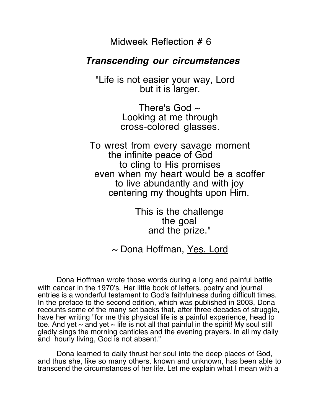Midweek Reflection # 6

## **Transcending our circumstances**

 "Life is not easier your way, Lord but it is larger.

> There's God  $\sim$ Looking at me through cross-colored glasses.

To wrest from every savage moment the infinite peace of God to cling to His promises even when my heart would be a scoffer to live abundantly and with joy centering my thoughts upon Him. This is the challenge

the goal and the prize."

## $\sim$  Dona Hoffman, Yes, Lord

Dona Hoffman wrote those words during a long and painful battle with cancer in the 1970's. Her little book of letters, poetry and journal entries is a wonderful testament to God's faithfulness during difficult times. In the preface to the second edition, which was published in 2003, Dona recounts some of the many set backs that, after three decades of struggle, have her writing "for me this physical life is a painful experience, head to toe. And yet  $\sim$  and yet  $\sim$  life is not all that painful in the spirit! My soul still gladly sings the morning canticles and the evening prayers. In all my daily and hourly living, God is not absent."

Dona learned to daily thrust her soul into the deep places of God, and thus she, like so many others, known and unknown, has been able to transcend the circumstances of her life. Let me explain what I mean with a